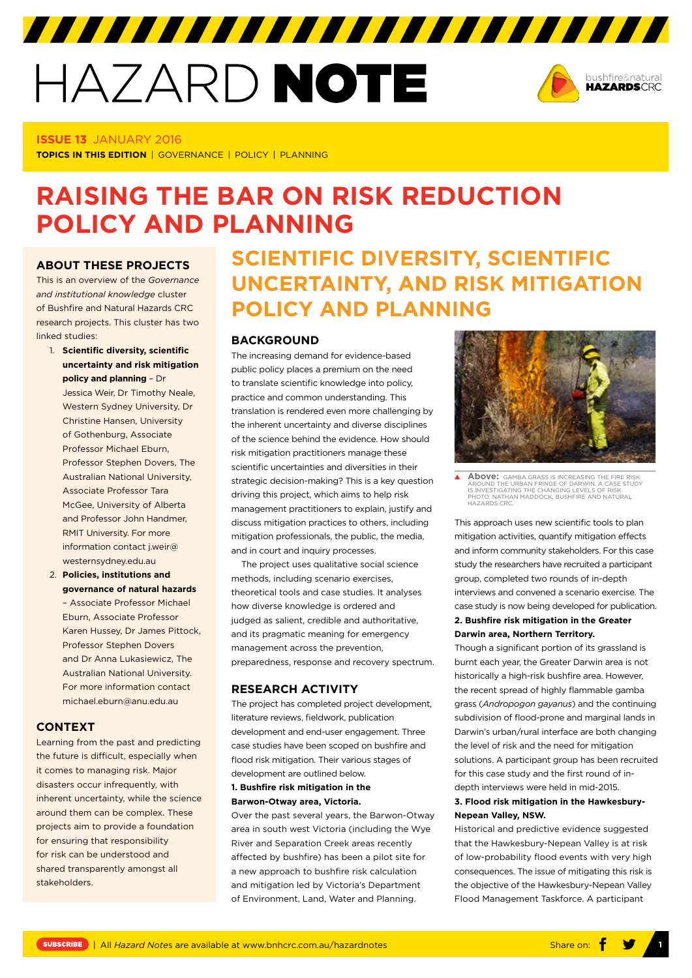# HAZARD NOTE



# **ISSUE 13** JANUARY 2016

**TOPICS IN THIS EDITION** | GOVERNANCE | POLICY | PLANNING

# **RAISING THE BAR ON RISK REDUCTION POLICY AND PLANNING**

# **ABOUT THESE PROJECTS**

This is an overview of the *Governance and institutional knowledge* cluster of Bushfire and Natural Hazards CRC research projects. This cluster has two linked studies:

- 1. **Scientific diversity, scientific uncertainty and risk mitigation policy and planning** – Dr Jessica Weir, Dr Timothy Neale, Western Sydney University, Dr Christine Hansen, University of Gothenburg, Associate Professor Michael Eburn, Professor Stephen Dovers, The
	- Australian National University, Associate Professor Tara McGee, University of Alberta and Professor John Handmer, RMIT University. For more information contact [j.weir@](mailto:j.weir@westernsydney.edu.au) [westernsydney.edu.au](mailto:j.weir@westernsydney.edu.au)
- 2. **Policies, institutions and governance of natural hazards** – Associate Professor Michael Eburn, Associate Professor Karen Hussey, Dr James Pittock, Professor Stephen Dovers and Dr Anna Lukasiewicz, The Australian National University. For more information contact [michael.eburn@anu.edu.au](mailto:michael.eburn@anu.edu.au)

# **CONTEXT**

Learning from the past and predicting the future is difficult, especially when it comes to managing risk. Major disasters occur infrequently, with inherent uncertainty, while the science around them can be complex. These projects aim to provide a foundation for ensuring that responsibility for risk can be understood and shared transparently amongst all stakeholders.

# **SCIENTIFIC DIVERSITY, SCIENTIFIC UNCERTAINTY, AND RISK MITIGATION POLICY AND PLANNING**

# **BACKGROUND**

The increasing demand for evidence-based public policy places a premium on the need to translate scientific knowledge into policy, practice and common understanding. This translation is rendered even more challenging by the inherent uncertainty and diverse disciplines of the science behind the evidence. How should risk mitigation practitioners manage these scientific uncertainties and diversities in their strategic decision-making? This is a key question driving this project, which aims to help risk management practitioners to explain, justify and discuss mitigation practices to others, including mitigation professionals, the public, the media, and in court and inquiry processes.

The project uses qualitative social science methods, including scenario exercises, theoretical tools and case studies. It analyses how diverse knowledge is ordered and judged as salient, credible and authoritative, and its pragmatic meaning for emergency management across the prevention, preparedness, response and recovery spectrum.

# **RESEARCH ACTIVITY**

The project has completed project development, literature reviews, fieldwork, publication development and end-user engagement. Three case studies have been scoped on bushfire and flood risk mitigation. Their various stages of development are outlined below.

#### **1. Bushfire risk mitigation in the Barwon-Otway area, Victoria.**

Over the past several years, the Barwon-Otway area in south west Victoria (including the Wye River and Separation Creek areas recently affected by bushfire) has been a pilot site for a new approach to bushfire risk calculation and mitigation led by Victoria's Department of Environment, Land, Water and Planning.



**Above:** GAMBA GRASS IS INCREASING THE FIRE RISK AROUND THE URBAN FRINGE OF DARWIN. A CASE STUDY IS INVESTIGATING THE CHANGING LEVELS OF RISK. PHOTO: NATHAN MADDOCK, BUSHFIRE AND NATURAL HAZARDS CRC.

This approach uses new scientific tools to plan mitigation activities, quantify mitigation effects and inform community stakeholders. For this case study the researchers have recruited a participant group, completed two rounds of in-depth interviews and convened a scenario exercise. The case study is now being developed for publication. **2. Bushfire risk mitigation in the Greater** 

# **Darwin area, Northern Territory.**

Though a significant portion of its grassland is burnt each year, the Greater Darwin area is not historically a high-risk bushfire area. However, the recent spread of highly flammable gamba grass (*Andropogon gayanus*) and the continuing subdivision of flood-prone and marginal lands in Darwin's urban/rural interface are both changing the level of risk and the need for mitigation solutions. A participant group has been recruited for this case study and the first round of indepth interviews were held in mid-2015.

## **3. Flood risk mitigation in the Hawkesbury-Nepean Valley, NSW.**

Historical and predictive evidence suggested that the Hawkesbury-Nepean Valley is at risk of low-probability flood events with very high consequences. The issue of mitigating this risk is the objective of the Hawkesbury-Nepean Valley Flood Management Taskforce. A participant